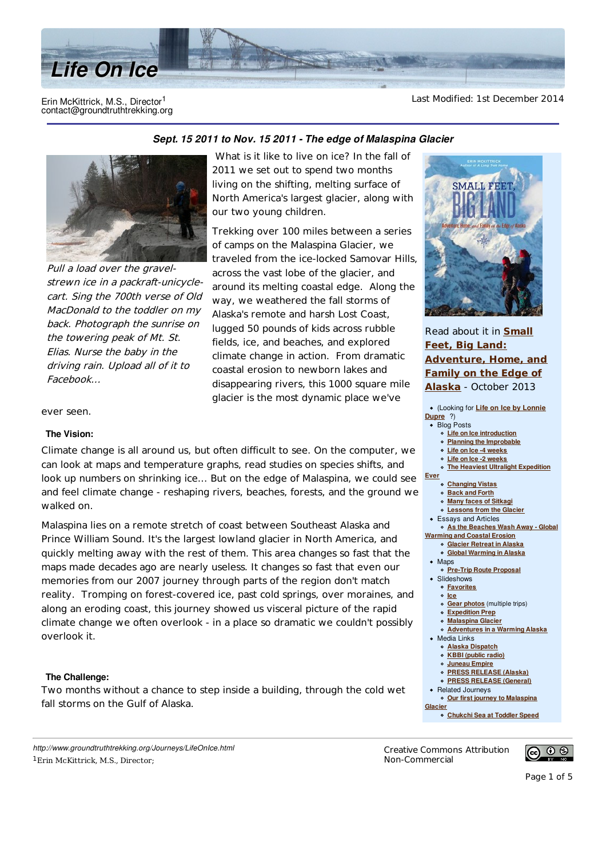

#### Erin McKittrick, M.S., Director<sup>1</sup> contact@groundtruthtrekking.org

Last Modified: 1st December 2014



Pull a load over the gravelstrewn ice in a packraft-unicyclecart. Sing the 700th verse of Old MacDonald to the toddler on my back. Photograph the sunrise on the towering peak of Mt. St. Elias. Nurse the baby in the driving rain. Upload all of it to Facebook...

# Sept. 15 2011 to Nov. 15 2011 - The edge of Malaspina Glacier

What is it like to live on ice? In the fall of 2011 we set out to spend two months living on the shifting, melting surface of North America's largest glacier, along with our two young children.

Trekking over 100 miles between a series of camps on the Malaspina Glacier, we traveled from the ice-locked Samovar Hills, across the vast lobe of the glacier, and around its melting coastal edge. Along the way, we weathered the fall storms of Alaska's remote and harsh Lost Coast, lugged 50 pounds of kids across rubble fields, ice, and beaches, and explored climate change in action. From dramatic coastal erosion to newborn lakes and disappearing rivers, this 1000 square mile glacier is the most dynamic place we've

ever seen.

## **The Vision:**

Climate change is all around us, but often difficult to see. On the computer, we can look at maps and temperature graphs, read studies on species shifts, and look up numbers on shrinking ice... But on the edge of Malaspina, we could see and feel climate change - reshaping rivers, beaches, forests, and the ground w walked on.

Malaspina lies on a remote stretch of coast between Southeast Alaska and Prince William Sound. It's the largest lowland glacier in North America, and quickly melting away with the rest of them. This area changes so fast that the maps made decades ago are nearly useless. It changes so fast that even our memories from our 2007 journey through parts of the region don't match reality. Tromping on forest-covered ice, past cold springs, over moraines, and along an eroding coast, this journey showed us visceral picture of the rapid climate change we often overlook - in a place so dramatic we couldn't possibly overlook it.

## **The Challenge:**

Two months without a chance to step inside a building, through the cold wet fall storms on the Gulf of Alaska.

*http://www.groundtruthtrekking.org/Journeys/LifeOnIce.html* <sup>1</sup>Erin McKittrick, M.S., Director;

**SMALL F** 

Read about it in **Small Feet, Big Land: Adventure, Home, and Family on the Edge of** Alaska - October 2013

|   | • (Looking for Life on Ice by Lonnie   |
|---|----------------------------------------|
|   | Dupre ?)                               |
|   | <b>Blog Posts</b><br>$\bullet$         |
|   | <b>Life on Ice introduction</b>        |
|   | ○ Planning the Improbable              |
| ë | o Life on Ice -4 weeks                 |
|   | o Life on Ice -2 weeks                 |
|   | o The Heaviest Ultralight Expedition   |
|   | Ever                                   |
| e | ○ Changing Vistas                      |
| e | <b>o</b> Back and Forth                |
|   | o Many faces of Sitkagi                |
|   | <b>o</b> Lessons from the Glacier      |
|   | • Essays and Articles                  |
|   | o As the Beaches Wash Away - Global    |
|   | <b>Warming and Coastal Erosion</b>     |
|   | <sup>o</sup> Glacier Retreat in Alaska |
|   | ○ Global Warming in Alaska             |
|   | $\bullet$ Maps                         |
|   | o Pre-Trip Route Proposal              |
|   | • Slideshows                           |
|   | <b>o</b> Favorites                     |
| l | $\circ$ Ice                            |
|   | o Gear photos (multiple trips)         |
|   | ○ Expedition Prep                      |
|   | o Malaspina Glacier                    |
| ı | o Adventures in a Warming Alaska       |
|   | • Media Links                          |
|   | o Alaska Dispatch                      |
|   | ○ KBBI (public radio)                  |
|   | o Juneau Empire                        |
|   | o PRESS RELEASE (Alaska)               |
|   | o PRESS RELEASE (General)              |
|   | • Related Journeys                     |
|   | o Our first journey to Malaspina       |
|   | Glacier                                |
|   | o Chukchi Sea at Toddler Speed         |
|   |                                        |

Creative Commons Attribution Non-Commercial



Page 1 of 5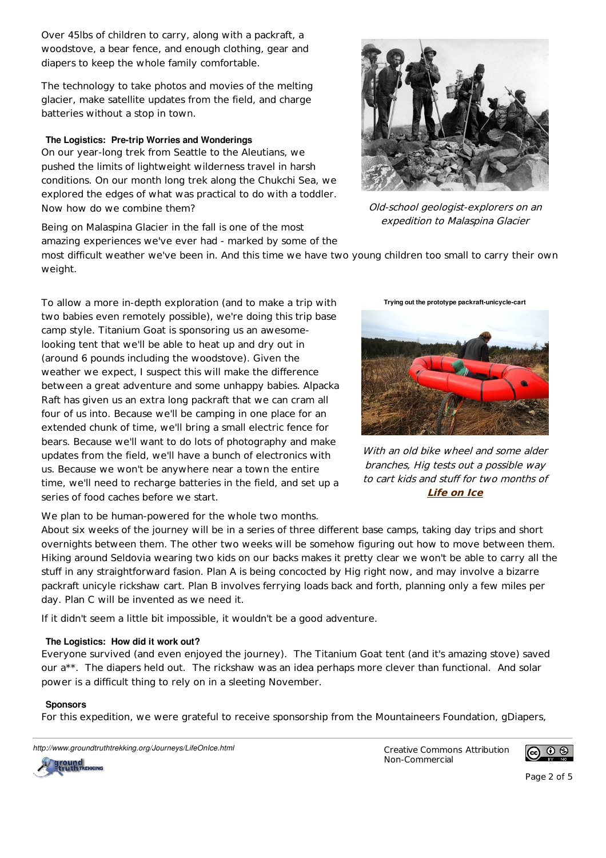Over 45lbs of children to carry, along with a packraft, a woodstove, a bear fence, and enough clothing, gear and diapers to keep the whole family comfortable.

The technology to take photos and movies of the melting glacier, make satellite updates from the field, and charge batteries without a stop in town.

## **The Logistics: Pre-trip Worries and Wonderings**

On our year-long trek from Seattle to the Aleutians, we pushed the limits of lightweight wilderness travel in harsh conditions. On our month long trek along the Chukchi Sea, we explored the edges of what was practical to do with a toddler. Now how do we combine them?

Being on Malaspina Glacier in the fall is one of the most amazing experiences we've ever had - marked by some of the

most difficult weather we've been in. And this time we have two young children too small to carry their own weight.

To allow a more in-depth exploration (and to make a trip with two babies even remotely possible), we're doing this trip base camp style. Titanium Goat is sponsoring us an awesomelooking tent that we'll be able to heat up and dry out in (around 6 pounds including the woodstove). Given the weather we expect, I suspect this will make the difference between a great adventure and some unhappy babies. Alpacka Raft has given us an extra long packraft that we can cram all four of us into. Because we'll be camping in one place for an extended chunk of time, we'll bring a small electric fence for bears. Because we'll want to do lots of photography and make updates from the field, we'll have a bunch of electronics with us. Because we won't be anywhere near a town the entire time, we'll need to recharge batteries in the field, and set up a series of food caches before we start.

We plan to be human-powered for the whole two months.

About six weeks of the journey will be in a series of three different base camps, taking day trips and short overnights between them. The other two weeks will be somehow figuring out how to move between them. Hiking around Seldovia wearing two kids on our backs makes it pretty clear we won't be able to carry all the stuff in any straightforward fasion. Plan A is being concocted by Hig right now, and may involve a bizarre packraft unicyle rickshaw cart. Plan B involves ferrying loads back and forth, planning only a few miles per day. Plan C will be invented as we need it.

If it didn't seem a little bit impossible, it wouldn't be a good adventure.

## The Logistics: How did it work out?

Everyone survived (and even enjoyed the journey). The Titanium Goat tent (and it's amazing stove) saved our a\*\*. The diapers held out. The rickshaw was an idea perhaps more clever than functional. And solar power is a difficult thing to rely on in a sleeting November.

## **Sponsors**

For this expedition, we were grateful to receive sponsorship from the Mountaineers Foundation, gDiapers,

http://www.groundtruthtrekking.org/Journeys/LifeOnIce.html Creative Commons Attribution

Non-Commercial



Old-school geologist-explorers on an expedition to Malaspina Glacier

**Trying out the prototype packraft-unicycle-cart**

With an old bike wheel and some alder branches, Hig tests out a possible way to cart kids and stuff for two months of **Life on Ice** 





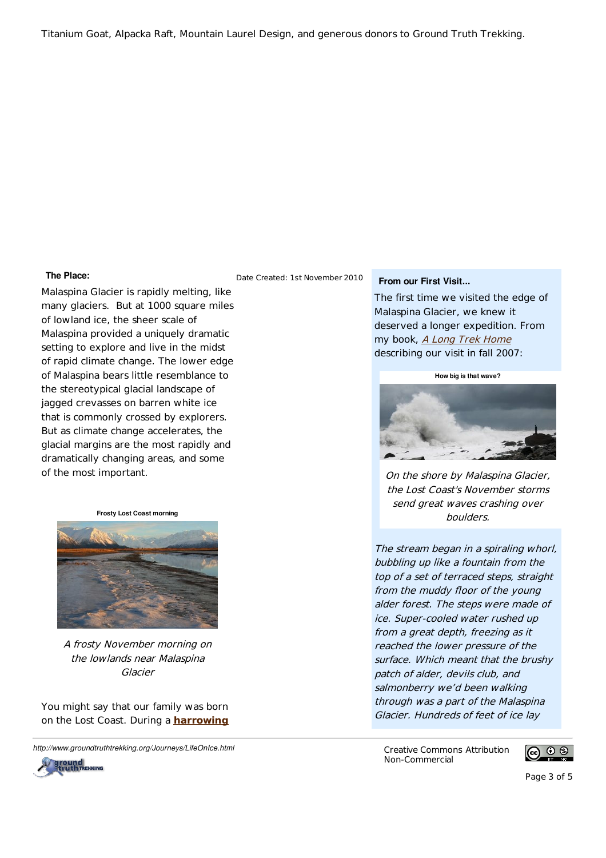Titanium Goat, Alpacka Raft, Mountain Laurel Design, and generous donors to Ground Truth Trekking.

#### **The Place:**

Malaspina Glacier is rapidly melting, like many glaciers. But at 1000 square miles of lowland ice, the sheer scale of Malaspina provided a uniquely dramatic setting to explore and live in the midst of rapid climate change. The lower edge of Malaspina bears little resemblance to the stereotypical glacial landscape of jagged crevasses on barren white ice that is commonly crossed by explorers. But as climate change accelerates, the glacial margins are the most rapidly and dramatically changing areas, and some of the most important.

**Frosty Lost Coast morning**



A frosty November morning on the lowlands near Malaspina Glacier

You might say that our family was born on the Lost Coast. During a **harrowing** 

http://www.groundtruthtrekking.org/Journeys/LifeOnIce.html Creative Commons Attribution



Date Created: 1st November 2010

## **From our First Visit...**

The first time we visited the edge of Malaspina Glacier, we knew it deserved a longer expedition. From my book, *A Long Trek Home* describing our visit in fall 2007:

**How big is that wave?** 



On the shore by Malaspina Glacier, the Lost Coast's November storms send great waves crashing over boulders.

The stream began in a spiraling whorl, bubbling up like a fountain from the top of a set of terraced steps, straight from the muddy floor of the young alder forest. The steps were made of ice. Super-cooled water rushed up from a great depth, freezing as it reached the lower pressure of the surface. Which meant that the brushy patch of alder, devils club, and salmonberry we'd been walking through was a part of the Malaspina Glacier. Hundreds of feet of ice lay

Non-Commercial

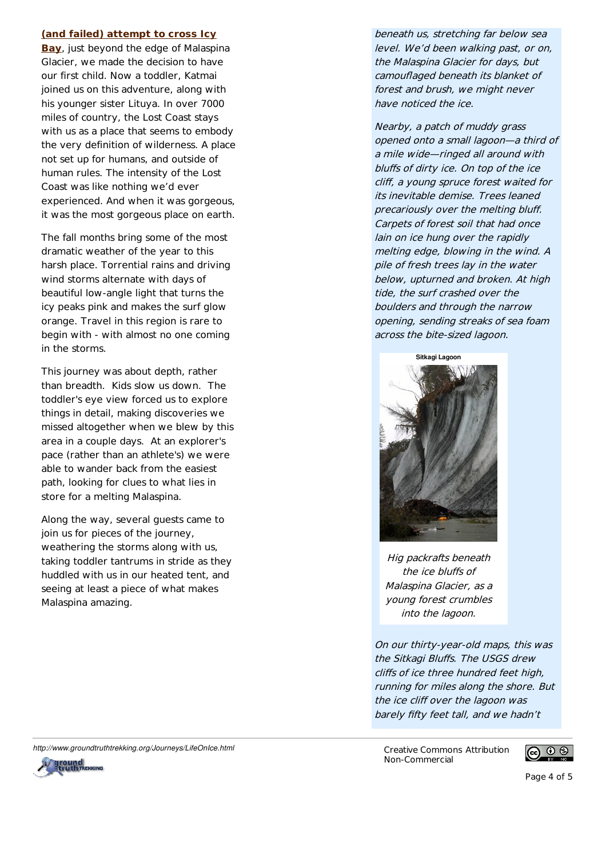#### **(and failed) attempt to cross Icy**

**Bay**, just beyond the edge of Malaspina Glacier, we made the decision to have our first child. Now a toddler, Katmai joined us on this adventure, along with his younger sister Lituya. In over 7000 miles of country, the Lost Coast stays with us as a place that seems to embody the very definition of wilderness. A place not set up for humans, and outside of human rules. The intensity of the Lost Coast was like nothing we'd ever experienced. And when it was gorgeous, it was the most gorgeous place on earth.

The fall months bring some of the most dramatic weather of the year to this harsh place. Torrential rains and driving wind storms alternate with days of beautiful low-angle light that turns the icy peaks pink and makes the surf glow orange. Travel in this region is rare to begin with - with almost no one coming in the storms.

This journey was about depth, rather than breadth. Kids slow us down. The toddler's eye view forced us to explore things in detail, making discoveries we missed altogether when we blew by this area in a couple days. At an explorer's pace (rather than an athlete's) we were able to wander back from the easiest path, looking for clues to what lies in store for a melting Malaspina.

Along the way, several quests came to join us for pieces of the journey, weathering the storms along with us, taking toddler tantrums in stride as they huddled with us in our heated tent, and seeing at least a piece of what makes Malaspina amazing.

beneath us, stretching far below sea level. We'd been walking past, or on, the Malaspina Glacier for days, but camouflaged beneath its blanket of forest and brush, we might never have noticed the ice.

Nearby, a patch of muddy grass opened onto a small lagoon—a third of a mile wide—ringed all around with bluffs of dirty ice. On top of the ice cliff, a young spruce forest waited for its inevitable demise. Trees leaned precariously over the melting bluff. Carpets of forest soil that had once lain on ice hung over the rapidly melting edge, blowing in the wind. A pile of fresh trees lay in the water below, upturned and broken. At high tide, the surf crashed over the boulders and through the narrow opening, sending streaks of sea foam across the bite-sized lagoon.



Hig packrafts beneath the ice bluffs of Malaspina Glacier, as a young forest crumbles into the lagoon.

On our thirty-year-old maps, this was the Sitkagi Bluffs. The USGS drew cliffs of ice three hundred feet high, running for miles along the shore. But the ice cliff over the lagoon was barely fifty feet tall, and we hadn't

Non-Commercial



http://www.groundtruthtrekking.org/Journeys/LifeOnIce.html commons Attribution



Page 4 of 5